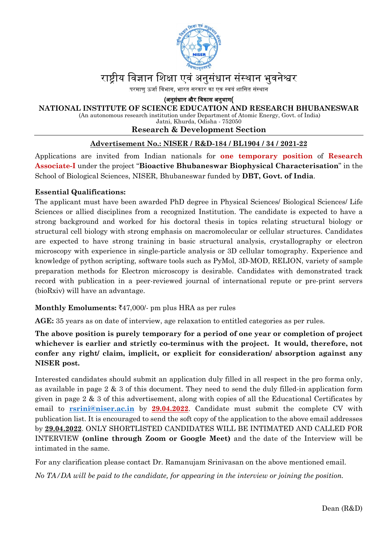

## राष्टीय विज्ञान शिक्षा एवं अनुसंधान संस्थान भुवनेश्वर

परमाण ऊर्जा विभाग, भारत सरकार का एक स्वयं शासित संस्थान

(अनुसंधान और िवकास अनुभाग(

#### **NATIONAL INSTITUTE OF SCIENCE EDUCATION AND RESEARCH BHUBANESWAR**

(An autonomous research institution under Department of Atomic Energy, Govt. of India)

Jatni, Khurda, Odisha - 752050

#### **Research & Development Section**

#### **Advertisement No.: NISER / R&D-184 / BL1904 / 34 / 2021-22**

Applications are invited from Indian nationals for **one temporary position** of **Research Associate-I** under the project "**Bioactive Bhubaneswar Biophysical Characterisation**" in the School of Biological Sciences, NISER, Bhubaneswar funded by **DBT, Govt. of India**.

#### **Essential Qualifications:**

The applicant must have been awarded PhD degree in Physical Sciences/ Biological Sciences/ Life Sciences or allied disciplines from a recognized Institution. The candidate is expected to have a strong background and worked for his doctoral thesis in topics relating structural biology or structural cell biology with strong emphasis on macromolecular or cellular structures. Candidates are expected to have strong training in basic structural analysis, crystallography or electron microscopy with experience in single-particle analysis or 3D cellular tomography. Experience and knowledge of python scripting, software tools such as PyMol, 3D-MOD, RELION, variety of sample preparation methods for Electron microscopy is desirable. Candidates with demonstrated track record with publication in a peer-reviewed journal of international repute or pre-print servers (bioRxiv) will have an advantage.

#### **Monthly Emoluments:** `47,000/- pm plus HRA as per rules

**AGE:** 35 years as on date of interview, age relaxation to entitled categories as per rules.

**The above position is purely temporary for a period of one year or completion of project whichever is earlier and strictly co-terminus with the project. It would, therefore, not confer any right/ claim, implicit, or explicit for consideration/ absorption against any NISER post.** 

Interested candidates should submit an application duly filled in all respect in the pro forma only, as available in page 2 & 3 of this document. They need to send the duly filled-in application form given in page 2 & 3 of this advertisement, along with copies of all the Educational Certificates by email to **[rsrini@niser.ac.in](mailto:rsrini@niser.ac.in)** by **29.04.2022**. Candidate must submit the complete CV with publication list. It is encouraged to send the soft copy of the application to the above email addresses by **29.04.2022**. ONLY SHORTLISTED CANDIDATES WILL BE INTIMATED AND CALLED FOR INTERVIEW **(online through Zoom or Google Meet)** and the date of the Interview will be intimated in the same.

For any clarification please contact Dr. Ramanujam Srinivasan on the above mentioned email.

*No TA/DA will be paid to the candidate, for appearing in the interview or joining the position.*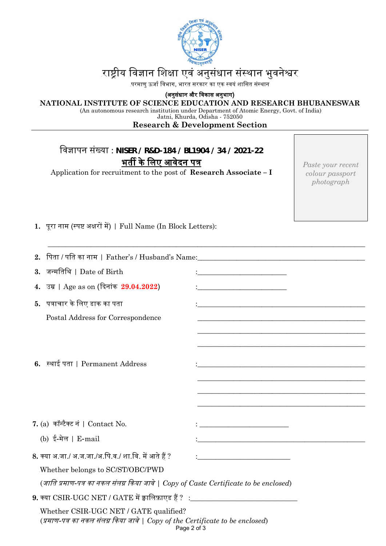

# राष्ट्रीय विज्ञान शिक्षा एवं अनुसंधान संस्थान भुवनेश्वर

.<br>परमाणु ऊर्जा विभाग, भारत सरकार का एक स्वयं शासित संस्थान

(अनुसंधान और िवकास अनुभाग)

#### **NATIONAL INSTITUTE OF SCIENCE EDUCATION AND RESEARCH BHUBANESWAR**

(An autonomous research institution under Department of Atomic Energy, Govt. of India)

Jatni, Khurda, Odisha - 752050

### **Research & Development Section**

\_\_\_\_\_\_\_\_\_\_\_\_\_\_\_\_\_\_\_\_\_\_\_\_\_\_\_\_\_\_\_\_\_\_\_\_\_\_\_\_\_\_\_\_\_\_\_\_\_\_\_\_\_\_\_\_\_\_\_\_\_\_\_\_\_\_\_\_\_\_\_\_\_\_\_\_\_\_\_\_\_\_\_\_\_\_\_\_\_

| विज्ञापन संख्या : NISER / R&D-184 / BL1904 / 34 / 2021-22 |
|-----------------------------------------------------------|
| भर्ती के लिए आवेदन पत्र                                   |

Application for recruitment to the post of **Research Associate – I**

*Paste your recent colour passport photograph*

1. पूरा नाम (स्पष्ट अक्षरों में) | Full Name (In Block Letters):

| 3. जन्मतिथि   Date of Birth                                                                                                             | <u> 1989 - Johann John Stone, mensk politik (d. 1989)</u>                        |  |  |  |  |
|-----------------------------------------------------------------------------------------------------------------------------------------|----------------------------------------------------------------------------------|--|--|--|--|
| 4. उम्र   Age as on (दिनांक 29.04.2022)                                                                                                 | <u> 1989 - Johann Barn, mars eta biztanleria (h. 1982).</u>                      |  |  |  |  |
| 5. पत्राचार के लिए डाक का पता                                                                                                           |                                                                                  |  |  |  |  |
| Postal Address for Correspondence                                                                                                       |                                                                                  |  |  |  |  |
|                                                                                                                                         |                                                                                  |  |  |  |  |
|                                                                                                                                         |                                                                                  |  |  |  |  |
|                                                                                                                                         |                                                                                  |  |  |  |  |
| 6. स्थाई पता   Permanent Address                                                                                                        |                                                                                  |  |  |  |  |
|                                                                                                                                         |                                                                                  |  |  |  |  |
|                                                                                                                                         |                                                                                  |  |  |  |  |
|                                                                                                                                         |                                                                                  |  |  |  |  |
| 7. (a) कॉन्टैक्ट नं   Contact No.                                                                                                       |                                                                                  |  |  |  |  |
| (b) ई-मेल   E-mail                                                                                                                      | <u> 1989 - Johann John Stein, mars an deus Amerikaansk kommunister (d. 1989)</u> |  |  |  |  |
|                                                                                                                                         |                                                                                  |  |  |  |  |
| 8. क्या अ.जा./ अ.ज.जा./अ.पि.व./ शा.वि. में आते हैं ?                                                                                    |                                                                                  |  |  |  |  |
| Whether belongs to SC/ST/OBC/PWD                                                                                                        |                                                                                  |  |  |  |  |
| (जाति प्रमाण-पत्र का नकल संलग्न किया जावे   Copy of Caste Certificate to be enclosed)                                                   |                                                                                  |  |  |  |  |
| $9.$ क्या $\mathrm{CSIR\text{-}UGC\text{}\,NET}$ / $\mathrm{GATE}$ में क्वालिफ़ाएड हैं ? $\pm$ ______________________________           |                                                                                  |  |  |  |  |
| Whether CSIR-UGC NET / GATE qualified?<br>(प्रमाण-पत्र का नकल संलग्न किया जावे   Copy of the Certificate to be enclosed)<br>Page 2 of 3 |                                                                                  |  |  |  |  |